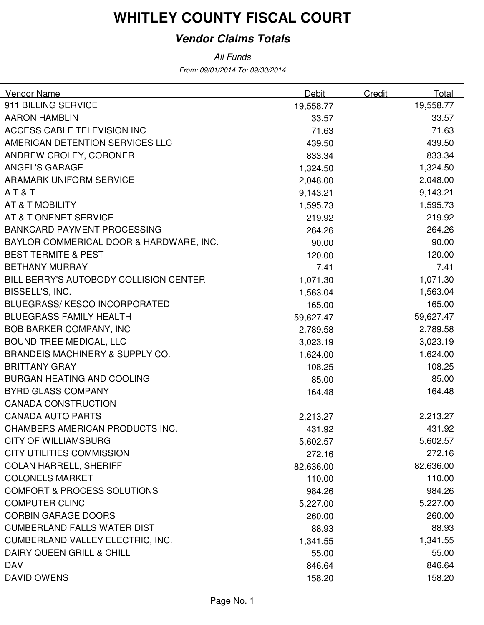### **Vendor Claims Totals**

From: 09/01/2014 To: 09/30/2014 All Funds

| Vendor Name                                | Debit     | Credit | Total     |
|--------------------------------------------|-----------|--------|-----------|
| 911 BILLING SERVICE                        | 19,558.77 |        | 19,558.77 |
| <b>AARON HAMBLIN</b>                       | 33.57     |        | 33.57     |
| ACCESS CABLE TELEVISION INC                | 71.63     |        | 71.63     |
| AMERICAN DETENTION SERVICES LLC            | 439.50    |        | 439.50    |
| ANDREW CROLEY, CORONER                     | 833.34    |        | 833.34    |
| <b>ANGEL'S GARAGE</b>                      | 1,324.50  |        | 1,324.50  |
| <b>ARAMARK UNIFORM SERVICE</b>             | 2,048.00  |        | 2,048.00  |
| AT&T                                       | 9,143.21  |        | 9,143.21  |
| AT & T MOBILITY                            | 1,595.73  |        | 1,595.73  |
| AT & T ONENET SERVICE                      | 219.92    |        | 219.92    |
| <b>BANKCARD PAYMENT PROCESSING</b>         | 264.26    |        | 264.26    |
| BAYLOR COMMERICAL DOOR & HARDWARE, INC.    | 90.00     |        | 90.00     |
| <b>BEST TERMITE &amp; PEST</b>             | 120.00    |        | 120.00    |
| <b>BETHANY MURRAY</b>                      | 7.41      |        | 7.41      |
| BILL BERRY'S AUTOBODY COLLISION CENTER     | 1,071.30  |        | 1,071.30  |
| BISSELL'S, INC.                            | 1,563.04  |        | 1,563.04  |
| <b>BLUEGRASS/KESCO INCORPORATED</b>        | 165.00    |        | 165.00    |
| <b>BLUEGRASS FAMILY HEALTH</b>             | 59,627.47 |        | 59,627.47 |
| <b>BOB BARKER COMPANY, INC</b>             | 2,789.58  |        | 2,789.58  |
| <b>BOUND TREE MEDICAL, LLC</b>             | 3,023.19  |        | 3,023.19  |
| <b>BRANDEIS MACHINERY &amp; SUPPLY CO.</b> | 1,624.00  |        | 1,624.00  |
| <b>BRITTANY GRAY</b>                       | 108.25    |        | 108.25    |
| <b>BURGAN HEATING AND COOLING</b>          | 85.00     |        | 85.00     |
| <b>BYRD GLASS COMPANY</b>                  | 164.48    |        | 164.48    |
| <b>CANADA CONSTRUCTION</b>                 |           |        |           |
| <b>CANADA AUTO PARTS</b>                   | 2,213.27  |        | 2,213.27  |
| CHAMBERS AMERICAN PRODUCTS INC.            | 431.92    |        | 431.92    |
| <b>CITY OF WILLIAMSBURG</b>                | 5,602.57  |        | 5,602.57  |
| <b>CITY UTILITIES COMMISSION</b>           | 272.16    |        | 272.16    |
| <b>COLAN HARRELL, SHERIFF</b>              | 82,636.00 |        | 82,636.00 |
| <b>COLONELS MARKET</b>                     | 110.00    |        | 110.00    |
| <b>COMFORT &amp; PROCESS SOLUTIONS</b>     | 984.26    |        | 984.26    |
| <b>COMPUTER CLINC</b>                      | 5,227.00  |        | 5,227.00  |
| <b>CORBIN GARAGE DOORS</b>                 | 260.00    |        | 260.00    |
| <b>CUMBERLAND FALLS WATER DIST</b>         | 88.93     |        | 88.93     |
| <b>CUMBERLAND VALLEY ELECTRIC, INC.</b>    | 1,341.55  |        | 1,341.55  |
| <b>DAIRY QUEEN GRILL &amp; CHILL</b>       | 55.00     |        | 55.00     |
| <b>DAV</b>                                 | 846.64    |        | 846.64    |
| DAVID OWENS                                | 158.20    |        | 158.20    |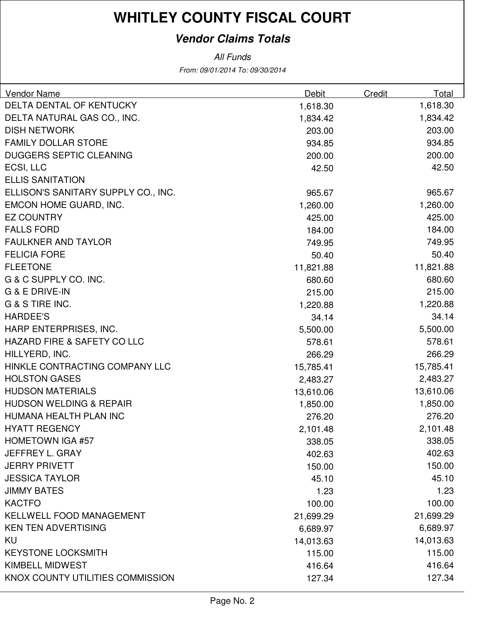### **Vendor Claims Totals**

From: 09/01/2014 To: 09/30/2014 All Funds

| Vendor Name                         | Debit     | Credit | Total     |
|-------------------------------------|-----------|--------|-----------|
| DELTA DENTAL OF KENTUCKY            | 1,618.30  |        | 1,618.30  |
| DELTA NATURAL GAS CO., INC.         | 1,834.42  |        | 1,834.42  |
| <b>DISH NETWORK</b>                 | 203.00    |        | 203.00    |
| <b>FAMILY DOLLAR STORE</b>          | 934.85    |        | 934.85    |
| <b>DUGGERS SEPTIC CLEANING</b>      | 200.00    |        | 200.00    |
| ECSI, LLC                           | 42.50     |        | 42.50     |
| <b>ELLIS SANITATION</b>             |           |        |           |
| ELLISON'S SANITARY SUPPLY CO., INC. | 965.67    |        | 965.67    |
| EMCON HOME GUARD, INC.              | 1,260.00  |        | 1,260.00  |
| <b>EZ COUNTRY</b>                   | 425.00    |        | 425.00    |
| <b>FALLS FORD</b>                   | 184.00    |        | 184.00    |
| <b>FAULKNER AND TAYLOR</b>          | 749.95    |        | 749.95    |
| <b>FELICIA FORE</b>                 | 50.40     |        | 50.40     |
| <b>FLEETONE</b>                     | 11,821.88 |        | 11,821.88 |
| G & C SUPPLY CO. INC.               | 680.60    |        | 680.60    |
| G & E DRIVE-IN                      | 215.00    |        | 215.00    |
| G & S TIRE INC.                     | 1,220.88  |        | 1,220.88  |
| <b>HARDEE'S</b>                     | 34.14     |        | 34.14     |
| HARP ENTERPRISES, INC.              | 5,500.00  |        | 5,500.00  |
| HAZARD FIRE & SAFETY CO LLC         | 578.61    |        | 578.61    |
| HILLYERD, INC.                      | 266.29    |        | 266.29    |
| HINKLE CONTRACTING COMPANY LLC      | 15,785.41 |        | 15,785.41 |
| <b>HOLSTON GASES</b>                | 2,483.27  |        | 2,483.27  |
| <b>HUDSON MATERIALS</b>             | 13,610.06 |        | 13,610.06 |
| <b>HUDSON WELDING &amp; REPAIR</b>  | 1,850.00  |        | 1,850.00  |
| HUMANA HEALTH PLAN INC              | 276.20    |        | 276.20    |
| <b>HYATT REGENCY</b>                | 2,101.48  |        | 2,101.48  |
| <b>HOMETOWN IGA #57</b>             | 338.05    |        | 338.05    |
| <b>JEFFREY L. GRAY</b>              | 402.63    |        | 402.63    |
| <b>JERRY PRIVETT</b>                | 150.00    |        | 150.00    |
| <b>JESSICA TAYLOR</b>               | 45.10     |        | 45.10     |
| <b>JIMMY BATES</b>                  | 1.23      |        | 1.23      |
| <b>KACTFO</b>                       | 100.00    |        | 100.00    |
| <b>KELLWELL FOOD MANAGEMENT</b>     | 21,699.29 |        | 21,699.29 |
| <b>KEN TEN ADVERTISING</b>          | 6,689.97  |        | 6,689.97  |
| <b>KU</b>                           | 14,013.63 |        | 14,013.63 |
| <b>KEYSTONE LOCKSMITH</b>           | 115.00    |        | 115.00    |
| <b>KIMBELL MIDWEST</b>              | 416.64    |        | 416.64    |
| KNOX COUNTY UTILITIES COMMISSION    | 127.34    |        | 127.34    |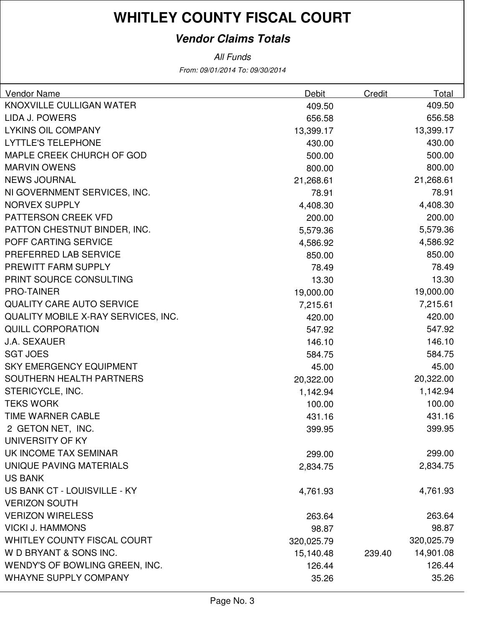### **Vendor Claims Totals**

From: 09/01/2014 To: 09/30/2014 All Funds

| Vendor Name                         | Debit      | Credit | Total      |
|-------------------------------------|------------|--------|------------|
| KNOXVILLE CULLIGAN WATER            | 409.50     |        | 409.50     |
| LIDA J. POWERS                      | 656.58     |        | 656.58     |
| <b>LYKINS OIL COMPANY</b>           | 13,399.17  |        | 13,399.17  |
| <b>LYTTLE'S TELEPHONE</b>           | 430.00     |        | 430.00     |
| MAPLE CREEK CHURCH OF GOD           | 500.00     |        | 500.00     |
| <b>MARVIN OWENS</b>                 | 800.00     |        | 800.00     |
| <b>NEWS JOURNAL</b>                 | 21,268.61  |        | 21,268.61  |
| NI GOVERNMENT SERVICES, INC.        | 78.91      |        | 78.91      |
| <b>NORVEX SUPPLY</b>                | 4,408.30   |        | 4,408.30   |
| PATTERSON CREEK VFD                 | 200.00     |        | 200.00     |
| PATTON CHESTNUT BINDER, INC.        | 5,579.36   |        | 5,579.36   |
| POFF CARTING SERVICE                | 4,586.92   |        | 4,586.92   |
| PREFERRED LAB SERVICE               | 850.00     |        | 850.00     |
| PREWITT FARM SUPPLY                 | 78.49      |        | 78.49      |
| PRINT SOURCE CONSULTING             | 13.30      |        | 13.30      |
| <b>PRO-TAINER</b>                   | 19,000.00  |        | 19,000.00  |
| <b>QUALITY CARE AUTO SERVICE</b>    | 7,215.61   |        | 7,215.61   |
| QUALITY MOBILE X-RAY SERVICES, INC. | 420.00     |        | 420.00     |
| <b>QUILL CORPORATION</b>            | 547.92     |        | 547.92     |
| <b>J.A. SEXAUER</b>                 | 146.10     |        | 146.10     |
| <b>SGT JOES</b>                     | 584.75     |        | 584.75     |
| <b>SKY EMERGENCY EQUIPMENT</b>      | 45.00      |        | 45.00      |
| SOUTHERN HEALTH PARTNERS            | 20,322.00  |        | 20,322.00  |
| STERICYCLE, INC.                    | 1,142.94   |        | 1,142.94   |
| <b>TEKS WORK</b>                    | 100.00     |        | 100.00     |
| TIME WARNER CABLE                   | 431.16     |        | 431.16     |
| 2 GETON NET, INC.                   | 399.95     |        | 399.95     |
| <b>UNIVERSITY OF KY</b>             |            |        |            |
| UK INCOME TAX SEMINAR               | 299.00     |        | 299.00     |
| UNIQUE PAVING MATERIALS             | 2,834.75   |        | 2,834.75   |
| <b>US BANK</b>                      |            |        |            |
| US BANK CT - LOUISVILLE - KY        | 4,761.93   |        | 4,761.93   |
| <b>VERIZON SOUTH</b>                |            |        |            |
| <b>VERIZON WIRELESS</b>             | 263.64     |        | 263.64     |
| <b>VICKI J. HAMMONS</b>             | 98.87      |        | 98.87      |
| <b>WHITLEY COUNTY FISCAL COURT</b>  | 320,025.79 |        | 320,025.79 |
| W D BRYANT & SONS INC.              | 15,140.48  | 239.40 | 14,901.08  |
| WENDY'S OF BOWLING GREEN, INC.      | 126.44     |        | 126.44     |
| <b>WHAYNE SUPPLY COMPANY</b>        | 35.26      |        | 35.26      |
|                                     |            |        |            |